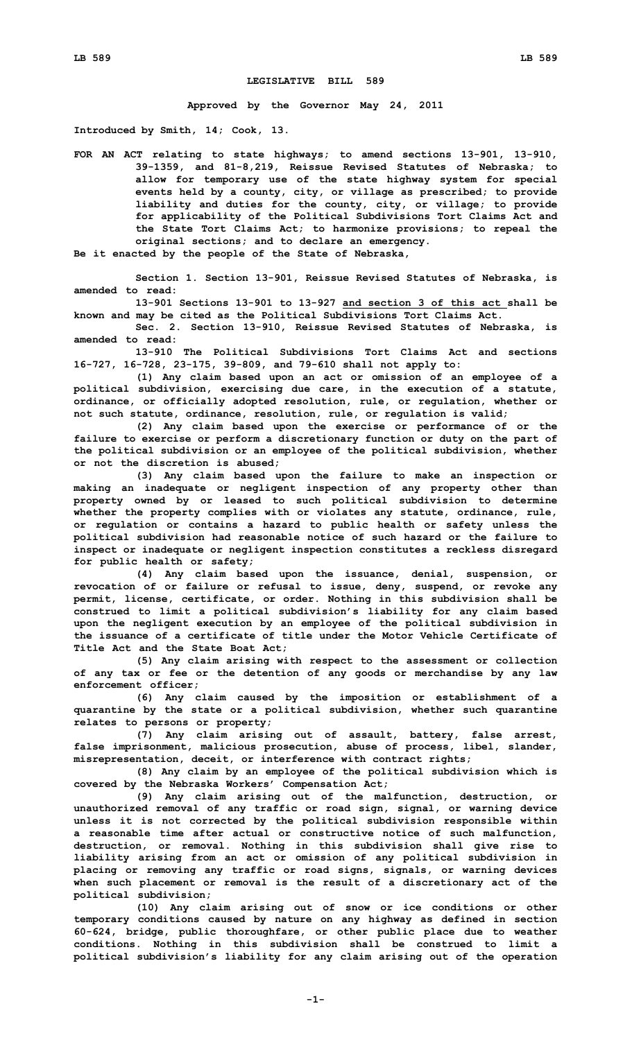## **LEGISLATIVE BILL 589**

**Approved by the Governor May 24, 2011**

**Introduced by Smith, 14; Cook, 13.**

**FOR AN ACT relating to state highways; to amend sections 13-901, 13-910, 39-1359, and 81-8,219, Reissue Revised Statutes of Nebraska; to allow for temporary use of the state highway system for special events held by <sup>a</sup> county, city, or village as prescribed; to provide liability and duties for the county, city, or village; to provide for applicability of the Political Subdivisions Tort Claims Act and the State Tort Claims Act; to harmonize provisions; to repeal the original sections; and to declare an emergency.**

**Be it enacted by the people of the State of Nebraska,**

**Section 1. Section 13-901, Reissue Revised Statutes of Nebraska, is amended to read:**

**13-901 Sections 13-901 to 13-927 and section 3 of this act shall be known and may be cited as the Political Subdivisions Tort Claims Act.**

**Sec. 2. Section 13-910, Reissue Revised Statutes of Nebraska, is amended to read:**

**13-910 The Political Subdivisions Tort Claims Act and sections 16-727, 16-728, 23-175, 39-809, and 79-610 shall not apply to:**

**(1) Any claim based upon an act or omission of an employee of <sup>a</sup> political subdivision, exercising due care, in the execution of <sup>a</sup> statute, ordinance, or officially adopted resolution, rule, or regulation, whether or not such statute, ordinance, resolution, rule, or regulation is valid;**

**(2) Any claim based upon the exercise or performance of or the failure to exercise or perform <sup>a</sup> discretionary function or duty on the part of the political subdivision or an employee of the political subdivision, whether or not the discretion is abused;**

**(3) Any claim based upon the failure to make an inspection or making an inadequate or negligent inspection of any property other than property owned by or leased to such political subdivision to determine whether the property complies with or violates any statute, ordinance, rule, or regulation or contains <sup>a</sup> hazard to public health or safety unless the political subdivision had reasonable notice of such hazard or the failure to inspect or inadequate or negligent inspection constitutes <sup>a</sup> reckless disregard for public health or safety;**

**(4) Any claim based upon the issuance, denial, suspension, or revocation of or failure or refusal to issue, deny, suspend, or revoke any permit, license, certificate, or order. Nothing in this subdivision shall be construed to limit <sup>a</sup> political subdivision's liability for any claim based upon the negligent execution by an employee of the political subdivision in the issuance of a certificate of title under the Motor Vehicle Certificate of Title Act and the State Boat Act;**

**(5) Any claim arising with respect to the assessment or collection of any tax or fee or the detention of any goods or merchandise by any law enforcement officer;**

**(6) Any claim caused by the imposition or establishment of <sup>a</sup> quarantine by the state or <sup>a</sup> political subdivision, whether such quarantine relates to persons or property;**

**(7) Any claim arising out of assault, battery, false arrest, false imprisonment, malicious prosecution, abuse of process, libel, slander, misrepresentation, deceit, or interference with contract rights;**

**(8) Any claim by an employee of the political subdivision which is covered by the Nebraska Workers' Compensation Act;**

**(9) Any claim arising out of the malfunction, destruction, or unauthorized removal of any traffic or road sign, signal, or warning device unless it is not corrected by the political subdivision responsible within <sup>a</sup> reasonable time after actual or constructive notice of such malfunction, destruction, or removal. Nothing in this subdivision shall give rise to liability arising from an act or omission of any political subdivision in placing or removing any traffic or road signs, signals, or warning devices when such placement or removal is the result of <sup>a</sup> discretionary act of the political subdivision;**

**(10) Any claim arising out of snow or ice conditions or other temporary conditions caused by nature on any highway as defined in section 60-624, bridge, public thoroughfare, or other public place due to weather conditions. Nothing in this subdivision shall be construed to limit <sup>a</sup> political subdivision's liability for any claim arising out of the operation**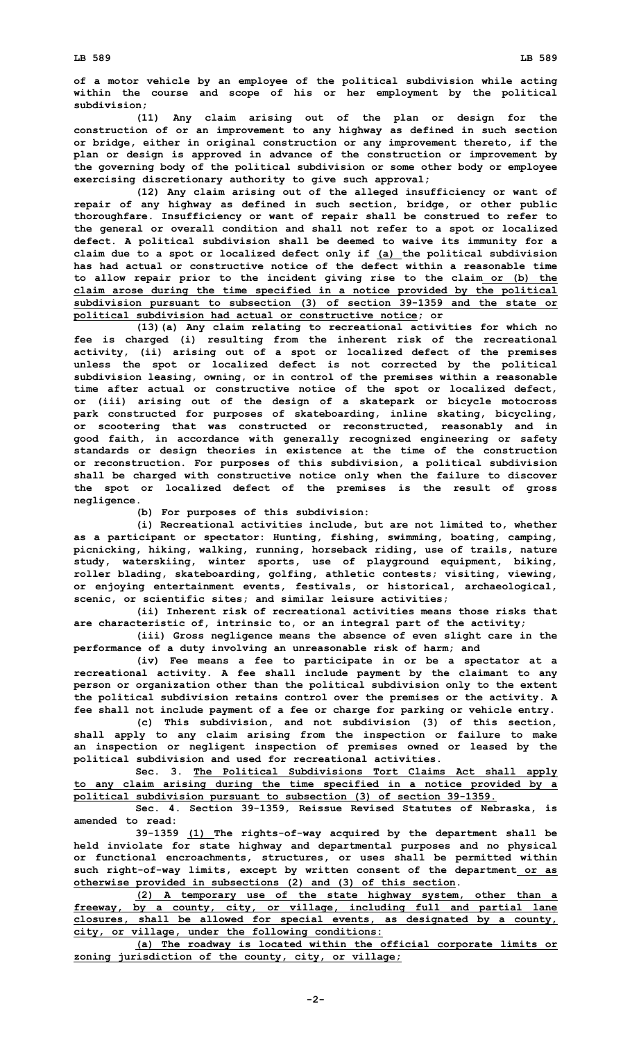**of <sup>a</sup> motor vehicle by an employee of the political subdivision while acting within the course and scope of his or her employment by the political subdivision;**

**(11) Any claim arising out of the plan or design for the construction of or an improvement to any highway as defined in such section or bridge, either in original construction or any improvement thereto, if the plan or design is approved in advance of the construction or improvement by the governing body of the political subdivision or some other body or employee exercising discretionary authority to give such approval;**

**(12) Any claim arising out of the alleged insufficiency or want of repair of any highway as defined in such section, bridge, or other public thoroughfare. Insufficiency or want of repair shall be construed to refer to the general or overall condition and shall not refer to <sup>a</sup> spot or localized defect. A political subdivision shall be deemed to waive its immunity for <sup>a</sup> claim due to <sup>a</sup> spot or localized defect only if (a) the political subdivision has had actual or constructive notice of the defect within a reasonable time to allow repair prior to the incident giving rise to the claim or (b) the claim arose during the time specified in <sup>a</sup> notice provided by the political subdivision pursuant to subsection (3) of section 39-1359 and the state or political subdivision had actual or constructive notice; or**

**(13)(a) Any claim relating to recreational activities for which no fee is charged (i) resulting from the inherent risk of the recreational activity, (ii) arising out of <sup>a</sup> spot or localized defect of the premises unless the spot or localized defect is not corrected by the political subdivision leasing, owning, or in control of the premises within <sup>a</sup> reasonable time after actual or constructive notice of the spot or localized defect, or (iii) arising out of the design of <sup>a</sup> skatepark or bicycle motocross park constructed for purposes of skateboarding, inline skating, bicycling, or scootering that was constructed or reconstructed, reasonably and in good faith, in accordance with generally recognized engineering or safety standards or design theories in existence at the time of the construction or reconstruction. For purposes of this subdivision, <sup>a</sup> political subdivision shall be charged with constructive notice only when the failure to discover the spot or localized defect of the premises is the result of gross negligence.**

**(b) For purposes of this subdivision:**

**(i) Recreational activities include, but are not limited to, whether as <sup>a</sup> participant or spectator: Hunting, fishing, swimming, boating, camping, picnicking, hiking, walking, running, horseback riding, use of trails, nature study, waterskiing, winter sports, use of playground equipment, biking, roller blading, skateboarding, golfing, athletic contests; visiting, viewing, or enjoying entertainment events, festivals, or historical, archaeological, scenic, or scientific sites; and similar leisure activities;**

**(ii) Inherent risk of recreational activities means those risks that are characteristic of, intrinsic to, or an integral part of the activity;**

**(iii) Gross negligence means the absence of even slight care in the performance of <sup>a</sup> duty involving an unreasonable risk of harm; and**

**(iv) Fee means <sup>a</sup> fee to participate in or be <sup>a</sup> spectator at <sup>a</sup> recreational activity. A fee shall include payment by the claimant to any person or organization other than the political subdivision only to the extent the political subdivision retains control over the premises or the activity. A fee shall not include payment of <sup>a</sup> fee or charge for parking or vehicle entry.**

**(c) This subdivision, and not subdivision (3) of this section, shall apply to any claim arising from the inspection or failure to make an inspection or negligent inspection of premises owned or leased by the political subdivision and used for recreational activities.**

**Sec. 3. The Political Subdivisions Tort Claims Act shall apply to any claim arising during the time specified in <sup>a</sup> notice provided by <sup>a</sup> political subdivision pursuant to subsection (3) of section 39-1359.**

**Sec. 4. Section 39-1359, Reissue Revised Statutes of Nebraska, is amended to read:**

**39-1359 (1) The rights-of-way acquired by the department shall be held inviolate for state highway and departmental purposes and no physical or functional encroachments, structures, or uses shall be permitted within such right-of-way limits, except by written consent of the department or as otherwise provided in subsections (2) and (3) of this section.**

**(2) <sup>A</sup> temporary use of the state highway system, other than <sup>a</sup> freeway, by <sup>a</sup> county, city, or village, including full and partial lane closures, shall be allowed for special events, as designated by <sup>a</sup> county, city, or village, under the following conditions:**

**(a) The roadway is located within the official corporate limits or zoning jurisdiction of the county, city, or village;**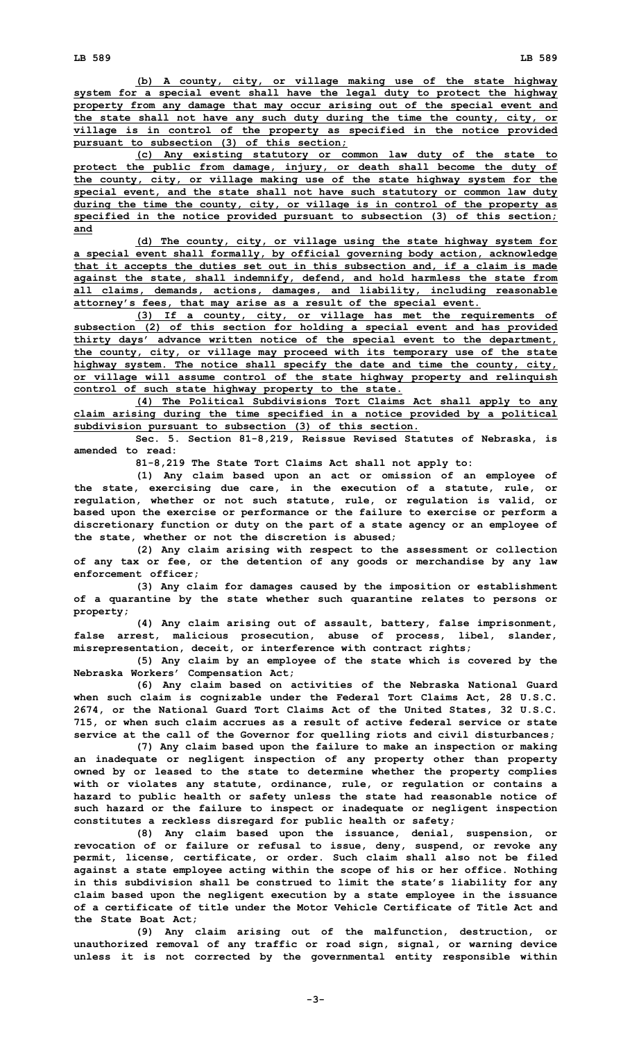**(b) <sup>A</sup> county, city, or village making use of the state highway system for <sup>a</sup> special event shall have the legal duty to protect the highway property from any damage that may occur arising out of the special event and the state shall not have any such duty during the time the county, city, or village is in control of the property as specified in the notice provided pursuant to subsection (3) of this section;**

**(c) Any existing statutory or common law duty of the state to protect the public from damage, injury, or death shall become the duty of the county, city, or village making use of the state highway system for the special event, and the state shall not have such statutory or common law duty during the time the county, city, or village is in control of the property as specified in the notice provided pursuant to subsection (3) of this section; and**

**(d) The county, city, or village using the state highway system for <sup>a</sup> special event shall formally, by official governing body action, acknowledge that it accepts the duties set out in this subsection and, if <sup>a</sup> claim is made against the state, shall indemnify, defend, and hold harmless the state from all claims, demands, actions, damages, and liability, including reasonable attorney's fees, that may arise as <sup>a</sup> result of the special event.**

**(3) If <sup>a</sup> county, city, or village has met the requirements of subsection (2) of this section for holding <sup>a</sup> special event and has provided thirty days' advance written notice of the special event to the department, the county, city, or village may proceed with its temporary use of the state highway system. The notice shall specify the date and time the county, city, or village will assume control of the state highway property and relinquish control of such state highway property to the state.**

**(4) The Political Subdivisions Tort Claims Act shall apply to any claim arising during the time specified in <sup>a</sup> notice provided by <sup>a</sup> political subdivision pursuant to subsection (3) of this section.**

**Sec. 5. Section 81-8,219, Reissue Revised Statutes of Nebraska, is amended to read:**

**81-8,219 The State Tort Claims Act shall not apply to:**

**(1) Any claim based upon an act or omission of an employee of the state, exercising due care, in the execution of <sup>a</sup> statute, rule, or regulation, whether or not such statute, rule, or regulation is valid, or based upon the exercise or performance or the failure to exercise or perform <sup>a</sup> discretionary function or duty on the part of <sup>a</sup> state agency or an employee of the state, whether or not the discretion is abused;**

**(2) Any claim arising with respect to the assessment or collection of any tax or fee, or the detention of any goods or merchandise by any law enforcement officer;**

**(3) Any claim for damages caused by the imposition or establishment of <sup>a</sup> quarantine by the state whether such quarantine relates to persons or property;**

**(4) Any claim arising out of assault, battery, false imprisonment, false arrest, malicious prosecution, abuse of process, libel, slander, misrepresentation, deceit, or interference with contract rights;**

**(5) Any claim by an employee of the state which is covered by the Nebraska Workers' Compensation Act;**

**(6) Any claim based on activities of the Nebraska National Guard when such claim is cognizable under the Federal Tort Claims Act, 28 U.S.C. 2674, or the National Guard Tort Claims Act of the United States, 32 U.S.C. 715, or when such claim accrues as <sup>a</sup> result of active federal service or state service at the call of the Governor for quelling riots and civil disturbances;**

**(7) Any claim based upon the failure to make an inspection or making an inadequate or negligent inspection of any property other than property owned by or leased to the state to determine whether the property complies with or violates any statute, ordinance, rule, or regulation or contains <sup>a</sup> hazard to public health or safety unless the state had reasonable notice of such hazard or the failure to inspect or inadequate or negligent inspection constitutes <sup>a</sup> reckless disregard for public health or safety;**

**(8) Any claim based upon the issuance, denial, suspension, or revocation of or failure or refusal to issue, deny, suspend, or revoke any permit, license, certificate, or order. Such claim shall also not be filed against <sup>a</sup> state employee acting within the scope of his or her office. Nothing in this subdivision shall be construed to limit the state's liability for any claim based upon the negligent execution by <sup>a</sup> state employee in the issuance of a certificate of title under the Motor Vehicle Certificate of Title Act and the State Boat Act;**

**(9) Any claim arising out of the malfunction, destruction, or unauthorized removal of any traffic or road sign, signal, or warning device unless it is not corrected by the governmental entity responsible within**